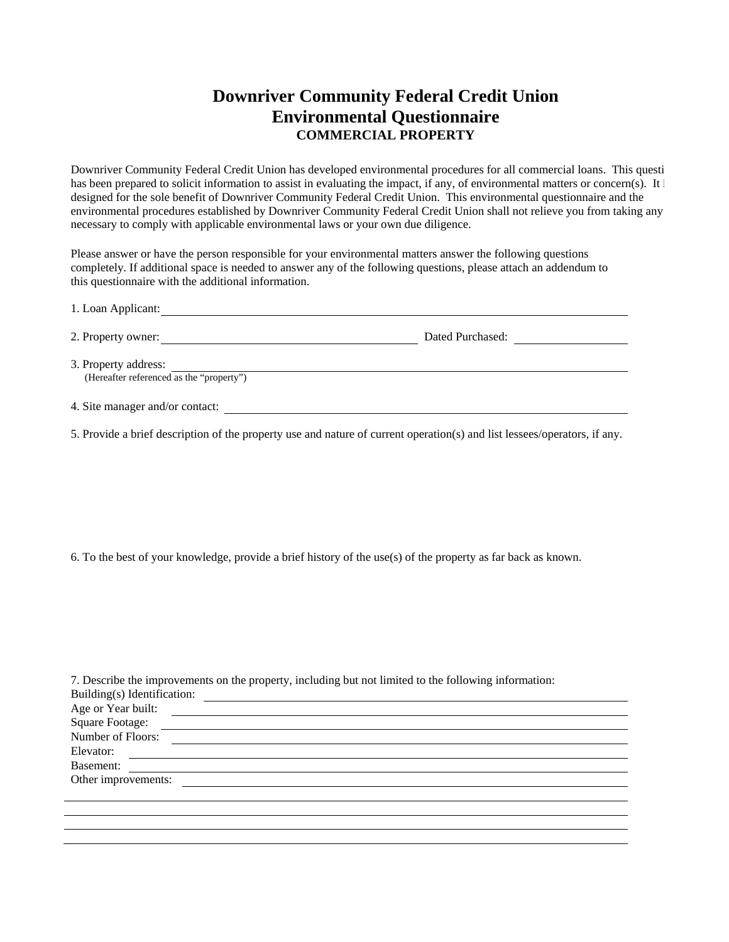## **Downriver Community Federal Credit Union Environmental Questionnaire COMMERCIAL PROPERTY**

Downriver Community Federal Credit Union has developed environmental procedures for all commercial loans. This questi has been prepared to solicit information to assist in evaluating the impact, if any, of environmental matters or concern(s). It is designed for the sole benefit of Downriver Community Federal Credit Union. This environmental questionnaire and the environmental procedures established by Downriver Community Federal Credit Union shall not relieve you from taking any necessary to comply with applicable environmental laws or your own due diligence.

Please answer or have the person responsible for your environmental matters answer the following questions completely. If additional space is needed to answer any of the following questions, please attach an addendum to this questionnaire with the additional information.

| 1. Loan Applicant:                                               |                  |  |
|------------------------------------------------------------------|------------------|--|
| 2. Property owner:                                               | Dated Purchased: |  |
| 3. Property address:<br>(Hereafter referenced as the "property") |                  |  |
| 4. Site manager and/or contact:                                  |                  |  |

5. Provide a brief description of the property use and nature of current operation(s) and list lessees/operators, if any.

6. To the best of your knowledge, provide a brief history of the use(s) of the property as far back as known.

| 7. Describe the improvements on the property, including but not limited to the following information: |  |
|-------------------------------------------------------------------------------------------------------|--|
| Building(s) Identification:                                                                           |  |
| Age or Year built:<br><u> 1989 - Johann Barbara, martxa amerikan bashkar (</u>                        |  |
| Square Footage:                                                                                       |  |
| Number of Floors:                                                                                     |  |
| Elevator:                                                                                             |  |
| Basement:                                                                                             |  |
| Other improvements:                                                                                   |  |
|                                                                                                       |  |
|                                                                                                       |  |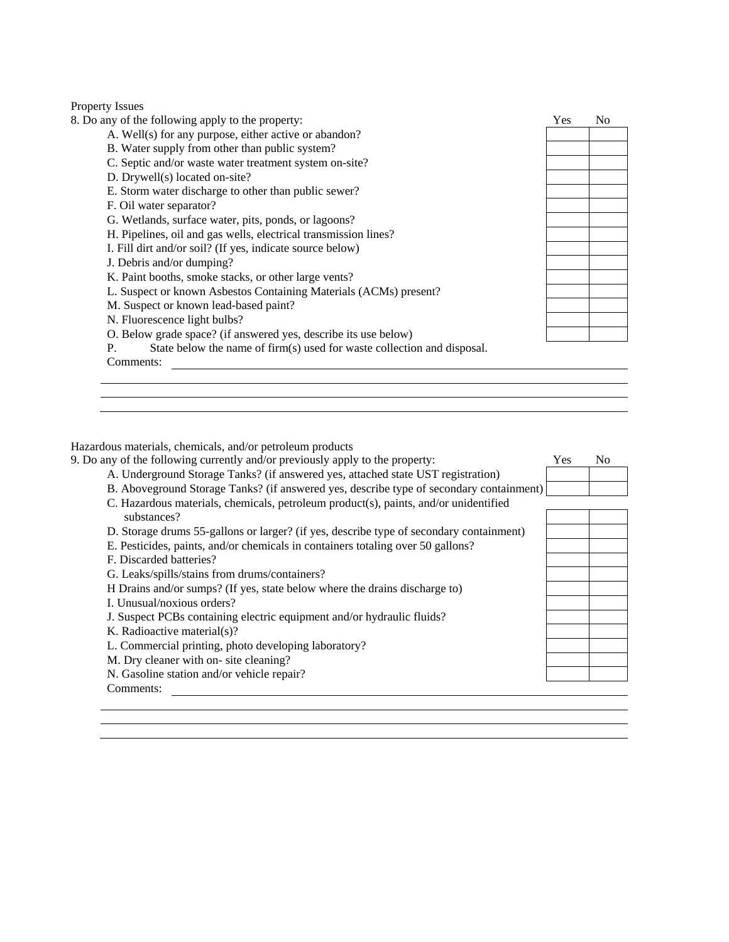## Property Issues<br>8. Do any of the

| 8. Do any of the following apply to the property:                                       | <b>Yes</b> | N <sub>0</sub> |
|-----------------------------------------------------------------------------------------|------------|----------------|
| A. Well(s) for any purpose, either active or abandon?                                   |            |                |
| B. Water supply from other than public system?                                          |            |                |
| C. Septic and/or waste water treatment system on-site?                                  |            |                |
| D. Drywell(s) located on-site?                                                          |            |                |
| E. Storm water discharge to other than public sewer?                                    |            |                |
| F. Oil water separator?                                                                 |            |                |
| G. Wetlands, surface water, pits, ponds, or lagoons?                                    |            |                |
| H. Pipelines, oil and gas wells, electrical transmission lines?                         |            |                |
| I. Fill dirt and/or soil? (If yes, indicate source below)                               |            |                |
| J. Debris and/or dumping?                                                               |            |                |
| K. Paint booths, smoke stacks, or other large vents?                                    |            |                |
| L. Suspect or known Asbestos Containing Materials (ACMs) present?                       |            |                |
| M. Suspect or known lead-based paint?                                                   |            |                |
| N. Fluorescence light bulbs?                                                            |            |                |
| O. Below grade space? (if answered yes, describe its use below)                         |            |                |
| State below the name of firm(s) used for waste collection and disposal.<br>$\mathbf{P}$ |            |                |
| Comments:                                                                               |            |                |

Hazardous materials, chemicals, and/or petroleum products 9. Do any of the following currently and/or previously apply

| 9. Do any of the following currently and/or previously apply to the property:           | Yes | N <sub>0</sub> |
|-----------------------------------------------------------------------------------------|-----|----------------|
| A. Underground Storage Tanks? (if answered yes, attached state UST registration)        |     |                |
| B. Aboveground Storage Tanks? (if answered yes, describe type of secondary containment) |     |                |
| C. Hazardous materials, chemicals, petroleum product(s), paints, and/or unidentified    |     |                |
| substances?                                                                             |     |                |
| D. Storage drums 55-gallons or larger? (if yes, describe type of secondary containment) |     |                |
| E. Pesticides, paints, and/or chemicals in containers totaling over 50 gallons?         |     |                |
| F. Discarded batteries?                                                                 |     |                |
| G. Leaks/spills/stains from drums/containers?                                           |     |                |
| H Drains and/or sumps? (If yes, state below where the drains discharge to)              |     |                |
| I. Unusual/noxious orders?                                                              |     |                |
| J. Suspect PCBs containing electric equipment and/or hydraulic fluids?                  |     |                |
| K. Radioactive material $(s)$ ?                                                         |     |                |
| L. Commercial printing, photo developing laboratory?                                    |     |                |
| M. Dry cleaner with on-site cleaning?                                                   |     |                |
| N. Gasoline station and/or vehicle repair?                                              |     |                |
| Comments:                                                                               |     |                |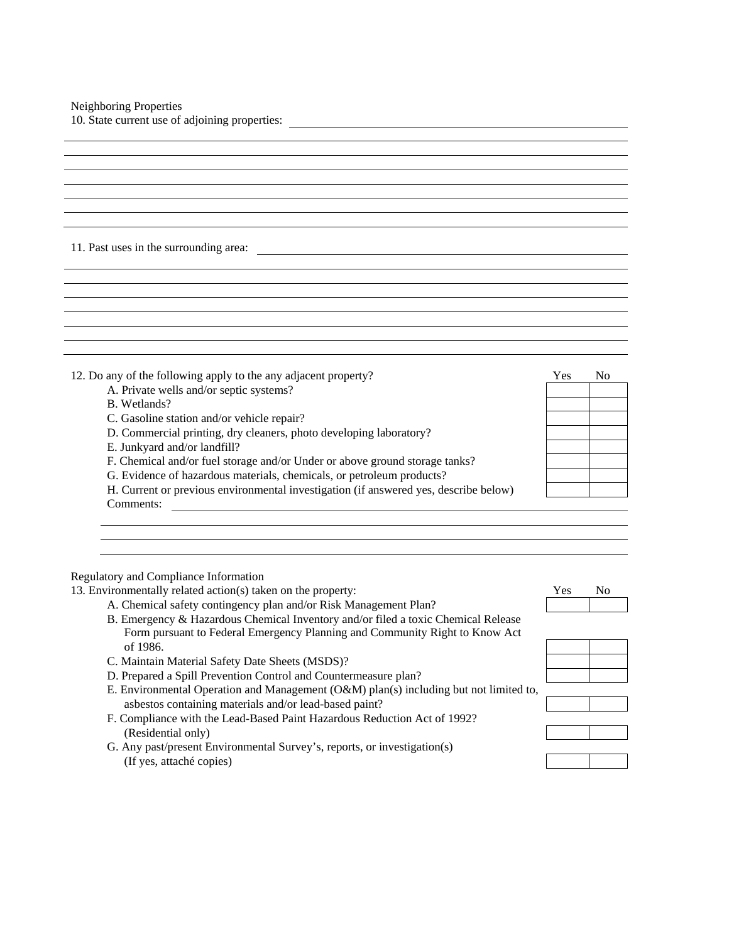| 10. State current use of adjoining properties: |  |
|------------------------------------------------|--|
|                                                |  |

## 11. Past uses in the surrounding area:

| 12. Do any of the following apply to the any adjacent property?                      | <b>Yes</b> | N <sub>0</sub> |
|--------------------------------------------------------------------------------------|------------|----------------|
| A. Private wells and/or septic systems?                                              |            |                |
| B. Wetlands?                                                                         |            |                |
| C. Gasoline station and/or vehicle repair?                                           |            |                |
| D. Commercial printing, dry cleaners, photo developing laboratory?                   |            |                |
| E. Junkyard and/or landfill?                                                         |            |                |
| F. Chemical and/or fuel storage and/or Under or above ground storage tanks?          |            |                |
| G. Evidence of hazardous materials, chemicals, or petroleum products?                |            |                |
| H. Current or previous environmental investigation (if answered yes, describe below) |            |                |
| Comments:                                                                            |            |                |

Regulatory and Compliance Information

13. Environmentally related action(s) taken on the property: Yes No

- A. Chemical safety contingency plan and/or Risk Management Plan? B. Emergency & Hazardous Chemical Inventory and/or filed a toxic Chemical Release Form pursuant to Federal Emergency Planning and Community Right to Know Act of 1986. C. Maintain Material Safety Date Sheets (MSDS)? D. Prepared a Spill Prevention Control and Countermeasure plan?
- E. Environmental Operation and Management (O&M) plan(s) including but not limited to, asbestos containing materials and/or lead-based paint?
- F. Compliance with the Lead-Based Paint Hazardous Reduction Act of 1992? (Residential only)
- G. Any past/present Environmental Survey's, reports, or investigation(s) (If yes, attaché copies)